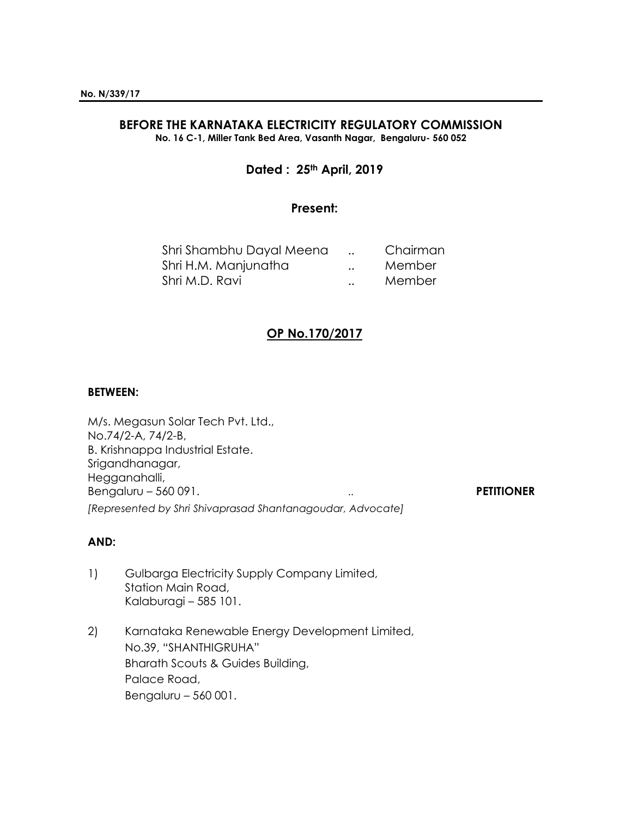# **BEFORE THE KARNATAKA ELECTRICITY REGULATORY COMMISSION**

**No. 16 C-1, Miller Tank Bed Area, Vasanth Nagar, Bengaluru- 560 052**

# **Dated : 25th April, 2019**

## **Present:**

| Shri Shambhu Dayal Meena |                      | Chairman |
|--------------------------|----------------------|----------|
| Shri H.M. Manjunatha     | $\ddot{\phantom{a}}$ | Member   |
| Shri M.D. Ravi           | $\ddot{\phantom{a}}$ | Member   |

# **OP No.170/2017**

#### **BETWEEN:**

M/s. Megasun Solar Tech Pvt. Ltd., No.74/2-A, 74/2-B, B. Krishnappa Industrial Estate. Srigandhanagar, Hegganahalli, Bengaluru – 560 091. **PETITIONER** *[Represented by Shri Shivaprasad Shantanagoudar, Advocate]*

### **AND:**

- 1) Gulbarga Electricity Supply Company Limited, Station Main Road, Kalaburagi – 585 101.
- 2) Karnataka Renewable Energy Development Limited, No.39, "SHANTHIGRUHA" Bharath Scouts & Guides Building, Palace Road, Bengaluru – 560 001.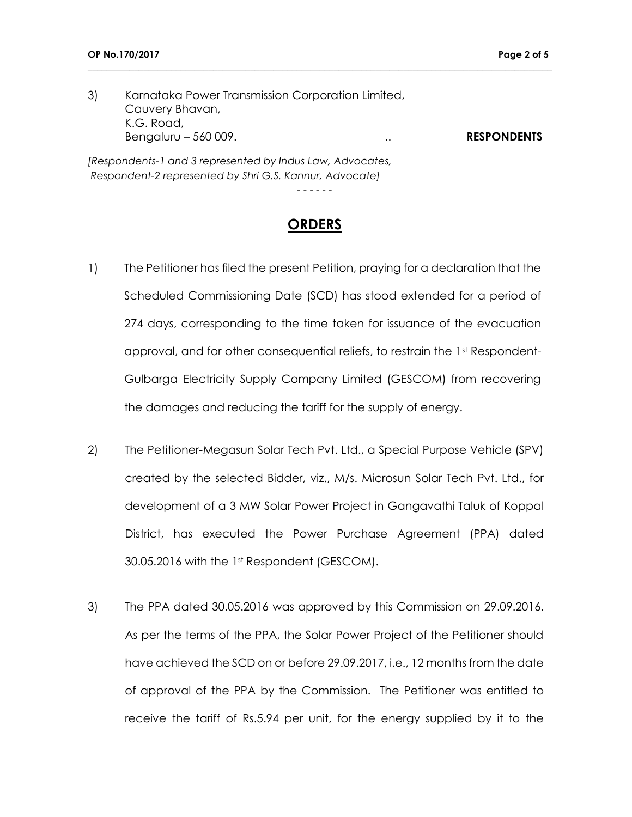3) Karnataka Power Transmission Corporation Limited, Cauvery Bhavan, K.G. Road, Bengaluru – 560 009. .. **RESPONDENTS** *[Respondents-1 and 3 represented by Indus Law, Advocates,*

**\_\_\_\_\_\_\_\_\_\_\_\_\_\_\_\_\_\_\_\_\_\_\_\_\_\_\_\_\_\_\_\_\_\_\_\_\_\_\_\_\_\_\_\_\_\_\_\_\_\_\_\_\_\_\_\_\_\_\_\_\_\_\_\_\_\_\_\_\_\_\_\_\_\_\_\_\_\_\_\_\_\_\_\_\_\_\_\_\_\_\_\_\_\_\_\_\_\_\_\_**

*Respondent-2 represented by Shri G.S. Kannur, Advocate]*

- - - - - -

# **ORDERS**

- 1) The Petitioner has filed the present Petition, praying for a declaration that the Scheduled Commissioning Date (SCD) has stood extended for a period of 274 days, corresponding to the time taken for issuance of the evacuation approval, and for other consequential reliefs, to restrain the 1st Respondent-Gulbarga Electricity Supply Company Limited (GESCOM) from recovering the damages and reducing the tariff for the supply of energy.
- 2) The Petitioner-Megasun Solar Tech Pvt. Ltd., a Special Purpose Vehicle (SPV) created by the selected Bidder, viz., M/s. Microsun Solar Tech Pvt. Ltd., for development of a 3 MW Solar Power Project in Gangavathi Taluk of Koppal District, has executed the Power Purchase Agreement (PPA) dated 30.05.2016 with the 1st Respondent (GESCOM).
- 3) The PPA dated 30.05.2016 was approved by this Commission on 29.09.2016. As per the terms of the PPA, the Solar Power Project of the Petitioner should have achieved the SCD on or before 29.09.2017, i.e., 12 months from the date of approval of the PPA by the Commission. The Petitioner was entitled to receive the tariff of Rs.5.94 per unit, for the energy supplied by it to the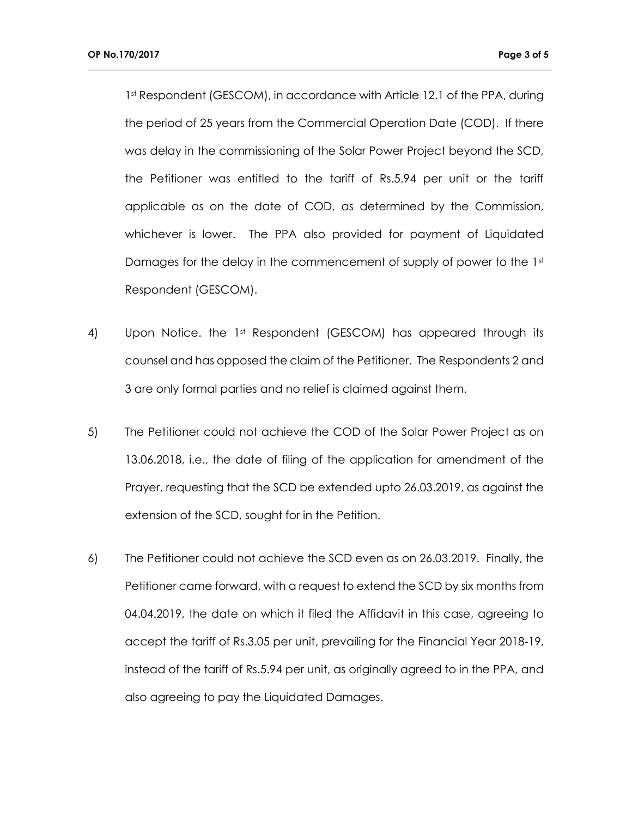1st Respondent (GESCOM), in accordance with Article 12.1 of the PPA, during the period of 25 years from the Commercial Operation Date (COD). If there was delay in the commissioning of the Solar Power Project beyond the SCD, the Petitioner was entitled to the tariff of Rs.5.94 per unit or the tariff applicable as on the date of COD, as determined by the Commission, whichever is lower. The PPA also provided for payment of Liquidated Damages for the delay in the commencement of supply of power to the  $1<sup>st</sup>$ Respondent (GESCOM).

**\_\_\_\_\_\_\_\_\_\_\_\_\_\_\_\_\_\_\_\_\_\_\_\_\_\_\_\_\_\_\_\_\_\_\_\_\_\_\_\_\_\_\_\_\_\_\_\_\_\_\_\_\_\_\_\_\_\_\_\_\_\_\_\_\_\_\_\_\_\_\_\_\_\_\_\_\_\_\_\_\_\_\_\_\_\_\_\_\_\_\_\_\_\_\_\_\_\_\_\_**

- 4) Upon Notice. the 1st Respondent (GESCOM) has appeared through its counsel and has opposed the claim of the Petitioner. The Respondents 2 and 3 are only formal parties and no relief is claimed against them.
- 5) The Petitioner could not achieve the COD of the Solar Power Project as on 13.06.2018, i.e., the date of filing of the application for amendment of the Prayer, requesting that the SCD be extended upto 26.03.2019, as against the extension of the SCD, sought for in the Petition.
- 6) The Petitioner could not achieve the SCD even as on 26.03.2019. Finally, the Petitioner came forward, with a request to extend the SCD by six months from 04.04.2019, the date on which it filed the Affidavit in this case, agreeing to accept the tariff of Rs.3.05 per unit, prevailing for the Financial Year 2018-19, instead of the tariff of Rs.5.94 per unit, as originally agreed to in the PPA, and also agreeing to pay the Liquidated Damages.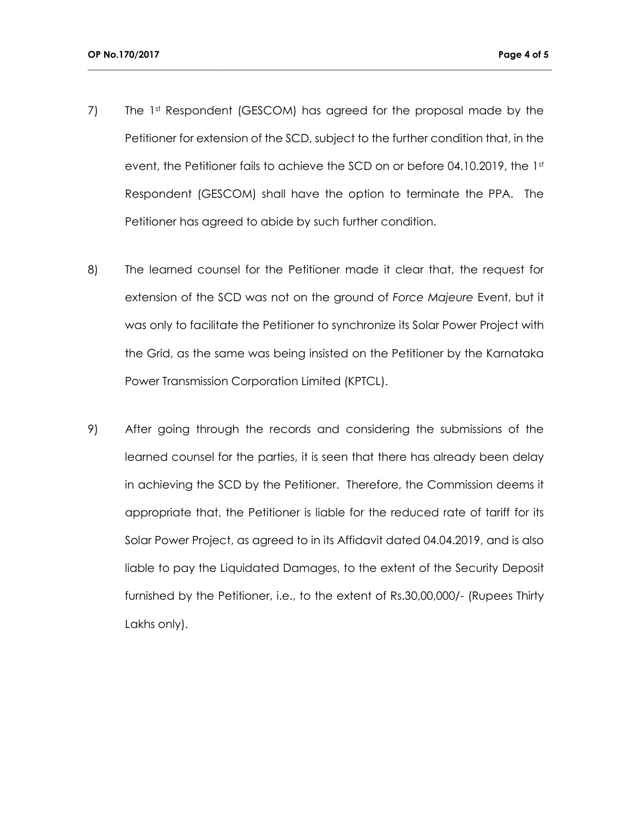7) The 1st Respondent (GESCOM) has agreed for the proposal made by the Petitioner for extension of the SCD, subject to the further condition that, in the event, the Petitioner fails to achieve the SCD on or before 04.10.2019, the 1st Respondent (GESCOM) shall have the option to terminate the PPA. The Petitioner has agreed to abide by such further condition.

**\_\_\_\_\_\_\_\_\_\_\_\_\_\_\_\_\_\_\_\_\_\_\_\_\_\_\_\_\_\_\_\_\_\_\_\_\_\_\_\_\_\_\_\_\_\_\_\_\_\_\_\_\_\_\_\_\_\_\_\_\_\_\_\_\_\_\_\_\_\_\_\_\_\_\_\_\_\_\_\_\_\_\_\_\_\_\_\_\_\_\_\_\_\_\_\_\_\_\_\_**

- 8) The learned counsel for the Petitioner made it clear that, the request for extension of the SCD was not on the ground of *Force Majeure* Event, but it was only to facilitate the Petitioner to synchronize its Solar Power Project with the Grid, as the same was being insisted on the Petitioner by the Karnataka Power Transmission Corporation Limited (KPTCL).
- 9) After going through the records and considering the submissions of the learned counsel for the parties, it is seen that there has already been delay in achieving the SCD by the Petitioner. Therefore, the Commission deems it appropriate that, the Petitioner is liable for the reduced rate of tariff for its Solar Power Project, as agreed to in its Affidavit dated 04.04.2019, and is also liable to pay the Liquidated Damages, to the extent of the Security Deposit furnished by the Petitioner, i.e., to the extent of Rs.30,00,000/- (Rupees Thirty Lakhs only).